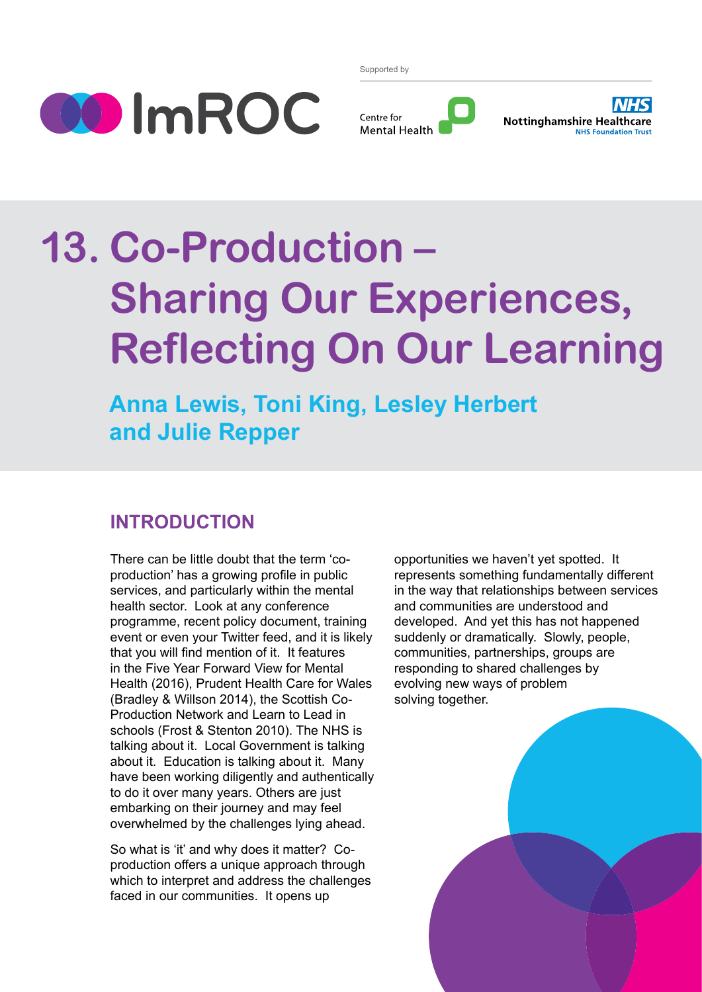

Supported by





# **13. Co-Production – Sharing Our Experiences, Reflecting On Our Learning**

**Anna Lewis, Toni King, Lesley Herbert and Julie Repper**

# **INTRODUCTION**

There can be little doubt that the term 'coproduction' has a growing profile in public services, and particularly within the mental health sector. Look at any conference programme, recent policy document, training event or even your Twitter feed, and it is likely that you will find mention of it. It features in the Five Year Forward View for Mental Health (2016), Prudent Health Care for Wales (Bradley & Willson 2014), the Scottish Co-Production Network and Learn to Lead in schools (Frost & Stenton 2010). The NHS is talking about it. Local Government is talking about it. Education is talking about it. Many have been working diligently and authentically to do it over many years. Others are just embarking on their journey and may feel overwhelmed by the challenges lying ahead.

So what is 'it' and why does it matter? Coproduction offers a unique approach through which to interpret and address the challenges faced in our communities. It opens up

opportunities we haven't yet spotted. It represents something fundamentally different in the way that relationships between services and communities are understood and developed. And yet this has not happened suddenly or dramatically. Slowly, people, communities, partnerships, groups are responding to shared challenges by evolving new ways of problem solving together.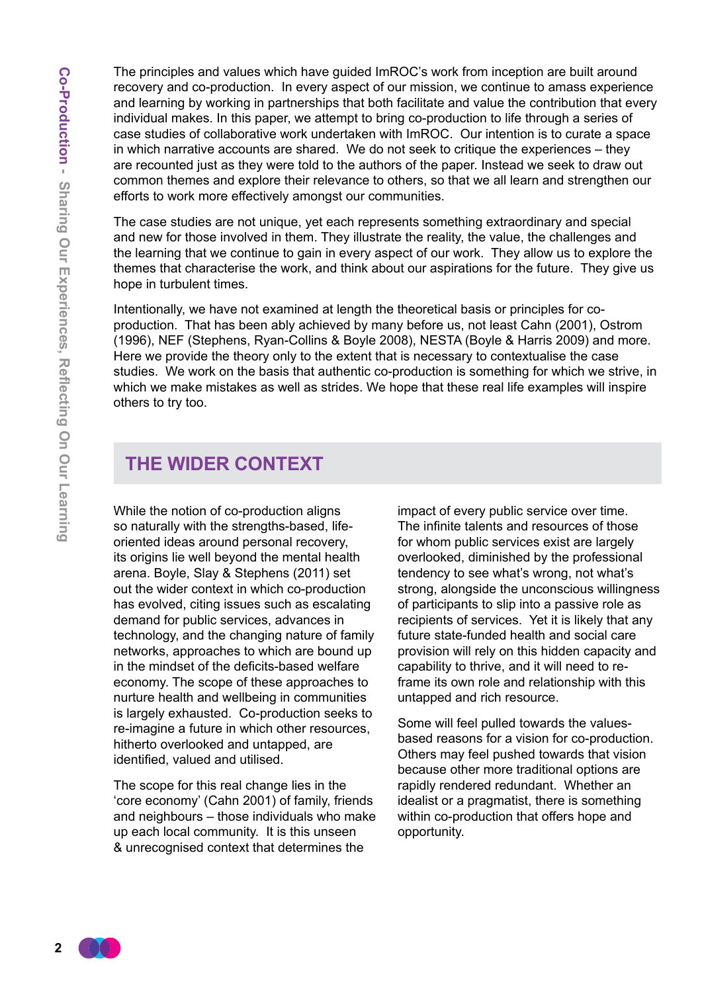The principles and values which have guided ImROC's work from inception are built around recovery and co-production. In every aspect of our mission, we continue to amass experience and learning by working in partnerships that both facilitate and value the contribution that every individual makes. In this paper, we attempt to bring co-production to life through a series of case studies of collaborative work undertaken with ImROC. Our intention is to curate a space in which narrative accounts are shared. We do not seek to critique the experiences – they are recounted just as they were told to the authors of the paper. Instead we seek to draw out common themes and explore their relevance to others, so that we all learn and strengthen our efforts to work more effectively amongst our communities.

The case studies are not unique, yet each represents something extraordinary and special and new for those involved in them. They illustrate the reality, the value, the challenges and the learning that we continue to gain in every aspect of our work. They allow us to explore the themes that characterise the work, and think about our aspirations for the future. They give us hope in turbulent times.

Intentionally, we have not examined at length the theoretical basis or principles for coproduction. That has been ably achieved by many before us, not least Cahn (2001), Ostrom (1996), NEF (Stephens, Ryan-Collins & Boyle 2008), NESTA (Boyle & Harris 2009) and more. Here we provide the theory only to the extent that is necessary to contextualise the case studies. We work on the basis that authentic co-production is something for which we strive, in which we make mistakes as well as strides. We hope that these real life examples will inspire others to try too.

## **The Wider Context**

While the notion of co-production aligns so naturally with the strengths-based, lifeoriented ideas around personal recovery, its origins lie well beyond the mental health arena. Boyle, Slay & Stephens (2011) set out the wider context in which co-production has evolved, citing issues such as escalating demand for public services, advances in technology, and the changing nature of family networks, approaches to which are bound up in the mindset of the deficits-based welfare economy. The scope of these approaches to nurture health and wellbeing in communities is largely exhausted. Co-production seeks to re-imagine a future in which other resources, hitherto overlooked and untapped, are identified, valued and utilised.

The scope for this real change lies in the 'core economy' (Cahn 2001) of family, friends and neighbours – those individuals who make up each local community. It is this unseen & unrecognised context that determines the

impact of every public service over time. The infinite talents and resources of those for whom public services exist are largely overlooked, diminished by the professional tendency to see what's wrong, not what's strong, alongside the unconscious willingness of participants to slip into a passive role as recipients of services. Yet it is likely that any future state-funded health and social care provision will rely on this hidden capacity and capability to thrive, and it will need to reframe its own role and relationship with this untapped and rich resource.

Some will feel pulled towards the valuesbased reasons for a vision for co-production. Others may feel pushed towards that vision because other more traditional options are rapidly rendered redundant. Whether an idealist or a pragmatist, there is something within co-production that offers hope and opportunity.

 $\overline{2}$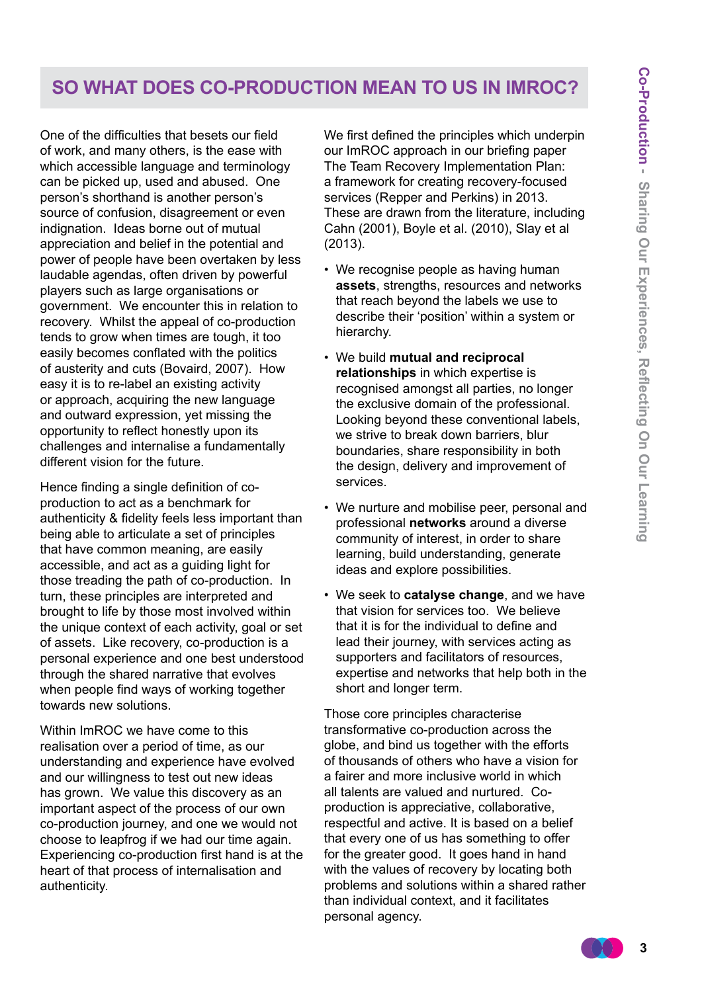## **So What Does Co-Production Mean to Us in ImROC?**

One of the difficulties that besets our field of work, and many others, is the ease with which accessible language and terminology can be picked up, used and abused. One person's shorthand is another person's source of confusion, disagreement or even indignation. Ideas borne out of mutual appreciation and belief in the potential and power of people have been overtaken by less laudable agendas, often driven by powerful players such as large organisations or government. We encounter this in relation to recovery. Whilst the appeal of co-production tends to grow when times are tough, it too easily becomes conflated with the politics of austerity and cuts (Bovaird, 2007). How easy it is to re-label an existing activity or approach, acquiring the new language and outward expression, yet missing the opportunity to reflect honestly upon its challenges and internalise a fundamentally different vision for the future.

Hence finding a single definition of coproduction to act as a benchmark for authenticity & fidelity feels less important than being able to articulate a set of principles that have common meaning, are easily accessible, and act as a guiding light for those treading the path of co-production. In turn, these principles are interpreted and brought to life by those most involved within the unique context of each activity, goal or set of assets. Like recovery, co-production is a personal experience and one best understood through the shared narrative that evolves when people find ways of working together towards new solutions.

Within ImROC we have come to this realisation over a period of time, as our understanding and experience have evolved and our willingness to test out new ideas has grown. We value this discovery as an important aspect of the process of our own co-production journey, and one we would not choose to leapfrog if we had our time again. Experiencing co-production first hand is at the heart of that process of internalisation and authenticity.

We first defined the principles which underpin our ImROC approach in our briefing paper The Team Recovery Implementation Plan: a framework for creating recovery-focused services (Repper and Perkins) in 2013. These are drawn from the literature, including Cahn (2001), Boyle et al. (2010), Slay et al (2013).

- We recognise people as having human **assets**, strengths, resources and networks that reach beyond the labels we use to describe their 'position' within a system or hierarchy.
- We build **mutual and reciprocal relationships** in which expertise is recognised amongst all parties, no longer the exclusive domain of the professional. Looking beyond these conventional labels, we strive to break down barriers, blur boundaries, share responsibility in both the design, delivery and improvement of services.
- We nurture and mobilise peer, personal and professional **networks** around a diverse community of interest, in order to share learning, build understanding, generate ideas and explore possibilities.
- We seek to **catalyse change**, and we have that vision for services too. We believe that it is for the individual to define and lead their journey, with services acting as supporters and facilitators of resources, expertise and networks that help both in the short and longer term.

Those core principles characterise transformative co-production across the globe, and bind us together with the efforts of thousands of others who have a vision for a fairer and more inclusive world in which all talents are valued and nurtured. Coproduction is appreciative, collaborative, respectful and active. It is based on a belief that every one of us has something to offer for the greater good. It goes hand in hand with the values of recovery by locating both problems and solutions within a shared rather than individual context, and it facilitates personal agency.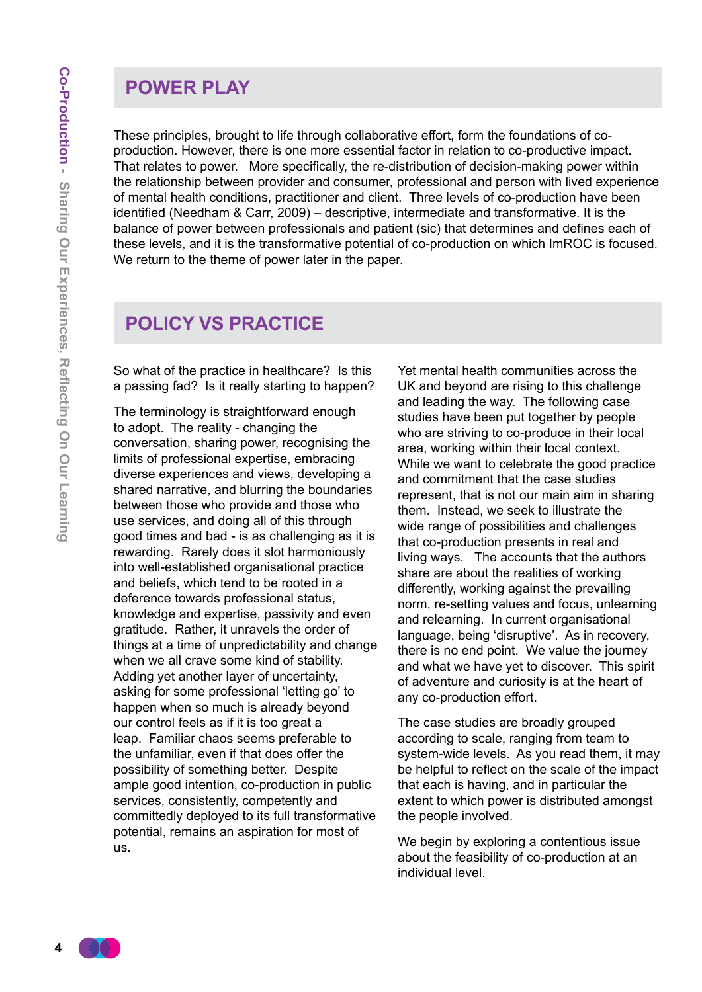#### **Power Play**

These principles, brought to life through collaborative effort, form the foundations of coproduction. However, there is one more essential factor in relation to co-productive impact. That relates to power. More specifically, the re-distribution of decision-making power within the relationship between provider and consumer, professional and person with lived experience of mental health conditions, practitioner and client. Three levels of co-production have been identified (Needham & Carr, 2009) – descriptive, intermediate and transformative. It is the balance of power between professionals and patient (sic) that determines and defines each of these levels, and it is the transformative potential of co-production on which ImROC is focused. We return to the theme of power later in the paper.

#### **Policy Vs Practice**

So what of the practice in healthcare? Is this a passing fad? Is it really starting to happen?

The terminology is straightforward enough to adopt. The reality - changing the conversation, sharing power, recognising the limits of professional expertise, embracing diverse experiences and views, developing a shared narrative, and blurring the boundaries between those who provide and those who use services, and doing all of this through good times and bad - is as challenging as it is rewarding. Rarely does it slot harmoniously into well-established organisational practice and beliefs, which tend to be rooted in a deference towards professional status, knowledge and expertise, passivity and even gratitude. Rather, it unravels the order of things at a time of unpredictability and change when we all crave some kind of stability. Adding yet another layer of uncertainty, asking for some professional 'letting go' to happen when so much is already beyond our control feels as if it is too great a leap. Familiar chaos seems preferable to the unfamiliar, even if that does offer the possibility of something better. Despite ample good intention, co-production in public services, consistently, competently and committedly deployed to its full transformative potential, remains an aspiration for most of us.

Yet mental health communities across the UK and beyond are rising to this challenge and leading the way. The following case studies have been put together by people who are striving to co-produce in their local area, working within their local context. While we want to celebrate the good practice and commitment that the case studies represent, that is not our main aim in sharing them. Instead, we seek to illustrate the wide range of possibilities and challenges that co-production presents in real and living ways. The accounts that the authors share are about the realities of working differently, working against the prevailing norm, re-setting values and focus, unlearning and relearning. In current organisational language, being 'disruptive'. As in recovery, there is no end point. We value the journey and what we have yet to discover. This spirit of adventure and curiosity is at the heart of any co-production effort.

The case studies are broadly grouped according to scale, ranging from team to system-wide levels. As you read them, it may be helpful to reflect on the scale of the impact that each is having, and in particular the extent to which power is distributed amongst the people involved.

We begin by exploring a contentious issue about the feasibility of co-production at an individual level.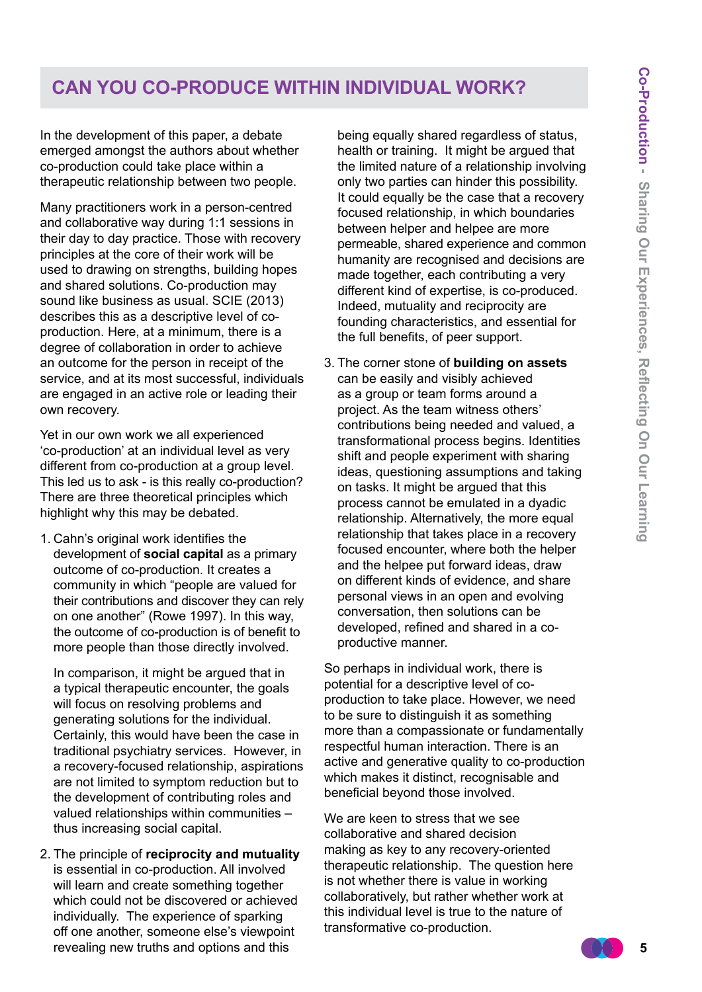## **Can you co-produce within individual work?**

In the development of this paper, a debate emerged amongst the authors about whether co-production could take place within a therapeutic relationship between two people.

Many practitioners work in a person-centred and collaborative way during 1:1 sessions in their day to day practice. Those with recovery principles at the core of their work will be used to drawing on strengths, building hopes and shared solutions. Co-production may sound like business as usual. SCIE (2013) describes this as a descriptive level of coproduction. Here, at a minimum, there is a degree of collaboration in order to achieve an outcome for the person in receipt of the service, and at its most successful, individuals are engaged in an active role or leading their own recovery.

Yet in our own work we all experienced 'co-production' at an individual level as very different from co-production at a group level. This led us to ask - is this really co-production? There are three theoretical principles which highlight why this may be debated.

1. Cahn's original work identifies the development of **social capital** as a primary outcome of co-production. It creates a community in which "people are valued for their contributions and discover they can rely on one another" (Rowe 1997). In this way, the outcome of co-production is of benefit to more people than those directly involved.

 In comparison, it might be argued that in a typical therapeutic encounter, the goals will focus on resolving problems and generating solutions for the individual. Certainly, this would have been the case in traditional psychiatry services. However, in a recovery-focused relationship, aspirations are not limited to symptom reduction but to the development of contributing roles and valued relationships within communities – thus increasing social capital.

2. The principle of **reciprocity and mutuality** is essential in co-production. All involved will learn and create something together which could not be discovered or achieved individually. The experience of sparking off one another, someone else's viewpoint revealing new truths and options and this

being equally shared regardless of status, health or training. It might be argued that the limited nature of a relationship involving only two parties can hinder this possibility. It could equally be the case that a recovery focused relationship, in which boundaries between helper and helpee are more permeable, shared experience and common humanity are recognised and decisions are made together, each contributing a very different kind of expertise, is co-produced. Indeed, mutuality and reciprocity are founding characteristics, and essential for the full benefits, of peer support.

3. The corner stone of **building on assets** can be easily and visibly achieved as a group or team forms around a project. As the team witness others' contributions being needed and valued, a transformational process begins. Identities shift and people experiment with sharing ideas, questioning assumptions and taking on tasks. It might be argued that this process cannot be emulated in a dyadic relationship. Alternatively, the more equal relationship that takes place in a recovery focused encounter, where both the helper and the helpee put forward ideas, draw on different kinds of evidence, and share personal views in an open and evolving conversation, then solutions can be developed, refined and shared in a coproductive manner.

So perhaps in individual work, there is potential for a descriptive level of coproduction to take place. However, we need to be sure to distinguish it as something more than a compassionate or fundamentally respectful human interaction. There is an active and generative quality to co-production which makes it distinct, recognisable and beneficial beyond those involved.

We are keen to stress that we see collaborative and shared decision making as key to any recovery-oriented therapeutic relationship. The question here is not whether there is value in working collaboratively, but rather whether work at this individual level is true to the nature of transformative co-production.

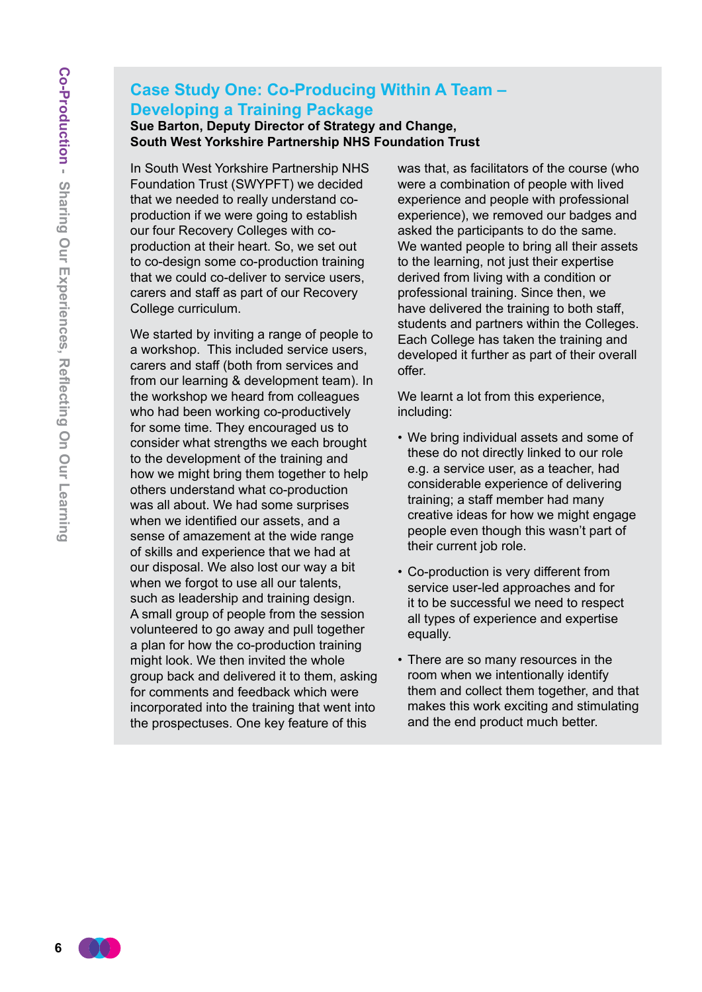#### **Case Study One: Co-Producing Within A Team – Developing a Training Package Sue Barton, Deputy Director of Strategy and Change,**

**South West Yorkshire Partnership NHS Foundation Trust** 

In South West Yorkshire Partnership NHS Foundation Trust (SWYPFT) we decided that we needed to really understand coproduction if we were going to establish our four Recovery Colleges with coproduction at their heart. So, we set out to co-design some co-production training that we could co-deliver to service users, carers and staff as part of our Recovery College curriculum.

We started by inviting a range of people to a workshop. This included service users, carers and staff (both from services and from our learning & development team). In the workshop we heard from colleagues who had been working co-productively for some time. They encouraged us to consider what strengths we each brought to the development of the training and how we might bring them together to help others understand what co-production was all about. We had some surprises when we identified our assets, and a sense of amazement at the wide range of skills and experience that we had at our disposal. We also lost our way a bit when we forgot to use all our talents, such as leadership and training design. A small group of people from the session volunteered to go away and pull together a plan for how the co-production training might look. We then invited the whole group back and delivered it to them, asking for comments and feedback which were incorporated into the training that went into the prospectuses. One key feature of this

was that, as facilitators of the course (who were a combination of people with lived experience and people with professional experience), we removed our badges and asked the participants to do the same. We wanted people to bring all their assets to the learning, not just their expertise derived from living with a condition or professional training. Since then, we have delivered the training to both staff, students and partners within the Colleges. Each College has taken the training and developed it further as part of their overall offer.

We learnt a lot from this experience, including:

- We bring individual assets and some of these do not directly linked to our role e.g. a service user, as a teacher, had considerable experience of delivering training; a staff member had many creative ideas for how we might engage people even though this wasn't part of their current job role.
- Co-production is very different from service user-led approaches and for it to be successful we need to respect all types of experience and expertise equally.
- There are so many resources in the room when we intentionally identify them and collect them together, and that makes this work exciting and stimulating and the end product much better.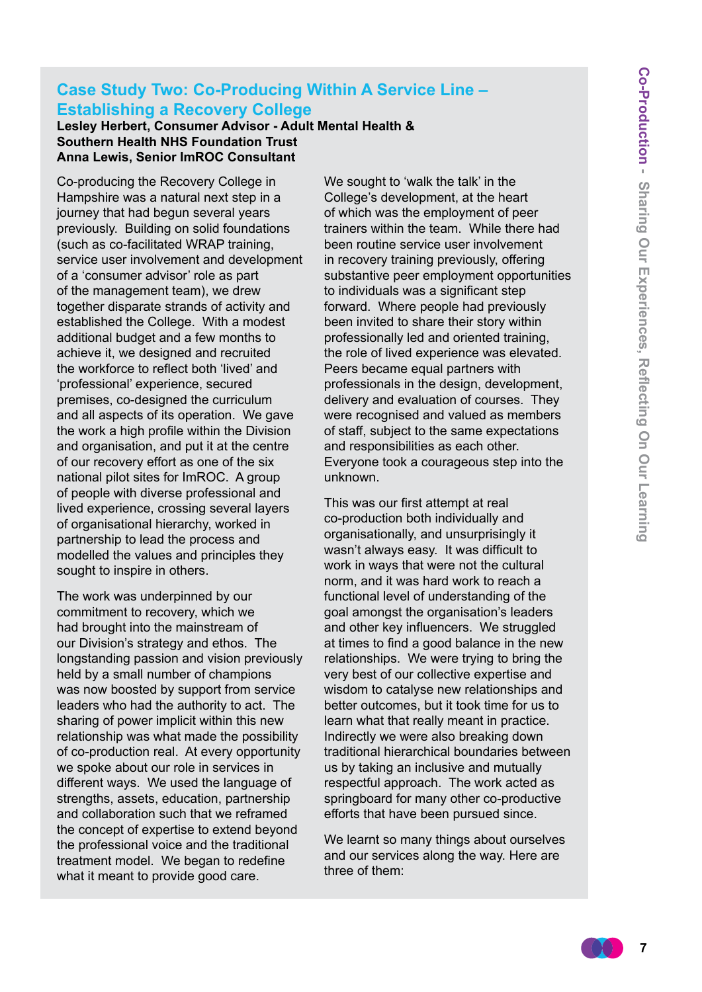#### **Case Study Two: Co-Producing Within A Service Line – Establishing a Recovery College**

**Lesley Herbert, Consumer Advisor - Adult Mental Health & Southern Health NHS Foundation Trust Anna Lewis, Senior ImROC Consultant**

Co-producing the Recovery College in Hampshire was a natural next step in a journey that had begun several years previously. Building on solid foundations (such as co-facilitated WRAP training, service user involvement and development of a 'consumer advisor' role as part of the management team), we drew together disparate strands of activity and established the College. With a modest additional budget and a few months to achieve it, we designed and recruited the workforce to reflect both 'lived' and 'professional' experience, secured premises, co-designed the curriculum and all aspects of its operation. We gave the work a high profile within the Division and organisation, and put it at the centre of our recovery effort as one of the six national pilot sites for ImROC. A group of people with diverse professional and lived experience, crossing several layers of organisational hierarchy, worked in partnership to lead the process and modelled the values and principles they sought to inspire in others.

The work was underpinned by our commitment to recovery, which we had brought into the mainstream of our Division's strategy and ethos. The longstanding passion and vision previously held by a small number of champions was now boosted by support from service leaders who had the authority to act. The sharing of power implicit within this new relationship was what made the possibility of co-production real. At every opportunity we spoke about our role in services in different ways. We used the language of strengths, assets, education, partnership and collaboration such that we reframed the concept of expertise to extend beyond the professional voice and the traditional treatment model. We began to redefine what it meant to provide good care.

We sought to 'walk the talk' in the College's development, at the heart of which was the employment of peer trainers within the team. While there had been routine service user involvement in recovery training previously, offering substantive peer employment opportunities to individuals was a significant step forward. Where people had previously been invited to share their story within professionally led and oriented training, the role of lived experience was elevated. Peers became equal partners with professionals in the design, development, delivery and evaluation of courses. They were recognised and valued as members of staff, subject to the same expectations and responsibilities as each other. Everyone took a courageous step into the unknown.

This was our first attempt at real co-production both individually and organisationally, and unsurprisingly it wasn't always easy. It was difficult to work in ways that were not the cultural norm, and it was hard work to reach a functional level of understanding of the goal amongst the organisation's leaders and other key influencers. We struggled at times to find a good balance in the new relationships. We were trying to bring the very best of our collective expertise and wisdom to catalyse new relationships and better outcomes, but it took time for us to learn what that really meant in practice. Indirectly we were also breaking down traditional hierarchical boundaries between us by taking an inclusive and mutually respectful approach. The work acted as springboard for many other co-productive efforts that have been pursued since.

We learnt so many things about ourselves and our services along the way. Here are three of them:

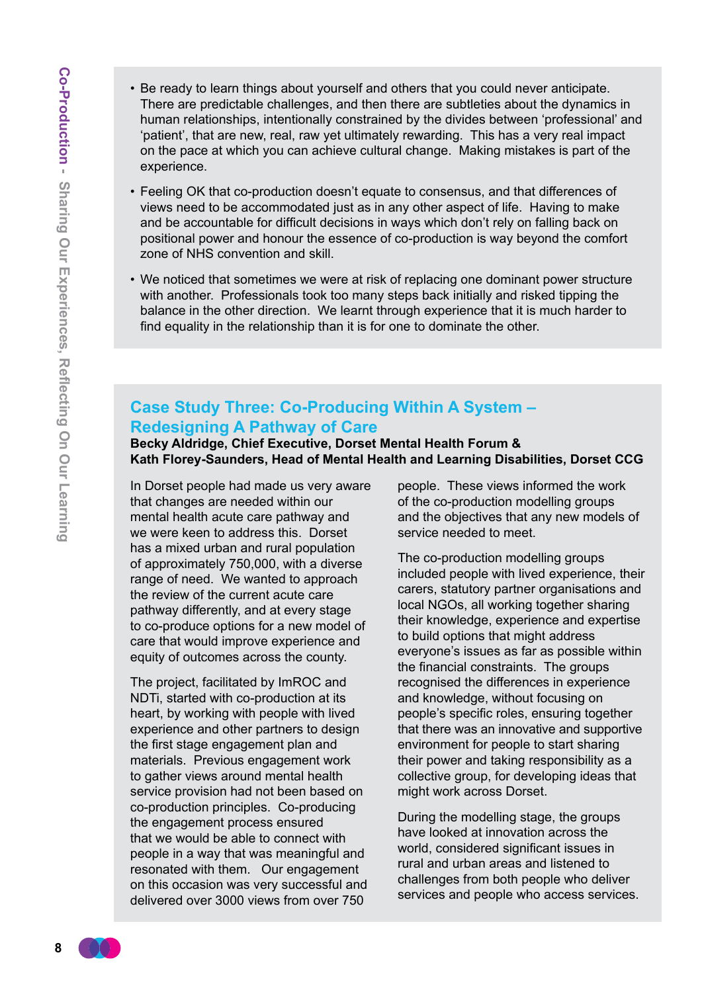- Co-Production Sharing Our Experiences, Reflecting On Our Learning **8Co-Production - Sharing Our Experiences, Reflecting On Our Learning**
- Be ready to learn things about yourself and others that you could never anticipate. There are predictable challenges, and then there are subtleties about the dynamics in human relationships, intentionally constrained by the divides between 'professional' and 'patient', that are new, real, raw yet ultimately rewarding. This has a very real impact on the pace at which you can achieve cultural change. Making mistakes is part of the experience.
- Feeling OK that co-production doesn't equate to consensus, and that differences of views need to be accommodated just as in any other aspect of life. Having to make and be accountable for difficult decisions in ways which don't rely on falling back on positional power and honour the essence of co-production is way beyond the comfort zone of NHS convention and skill.
- We noticed that sometimes we were at risk of replacing one dominant power structure with another. Professionals took too many steps back initially and risked tipping the balance in the other direction. We learnt through experience that it is much harder to find equality in the relationship than it is for one to dominate the other.

#### **Case Study Three: Co-Producing Within A System – Redesigning A Pathway of Care**

**Becky Aldridge, Chief Executive, Dorset Mental Health Forum & Kath Florey-Saunders, Head of Mental Health and Learning Disabilities, Dorset CCG** 

In Dorset people had made us very aware that changes are needed within our mental health acute care pathway and we were keen to address this. Dorset has a mixed urban and rural population of approximately 750,000, with a diverse range of need. We wanted to approach the review of the current acute care pathway differently, and at every stage to co-produce options for a new model of care that would improve experience and equity of outcomes across the county.

The project, facilitated by ImROC and NDTi, started with co-production at its heart, by working with people with lived experience and other partners to design the first stage engagement plan and materials. Previous engagement work to gather views around mental health service provision had not been based on co-production principles. Co-producing the engagement process ensured that we would be able to connect with people in a way that was meaningful and resonated with them. Our engagement on this occasion was very successful and delivered over 3000 views from over 750

people. These views informed the work of the co-production modelling groups and the objectives that any new models of service needed to meet.

The co-production modelling groups included people with lived experience, their carers, statutory partner organisations and local NGOs, all working together sharing their knowledge, experience and expertise to build options that might address everyone's issues as far as possible within the financial constraints. The groups recognised the differences in experience and knowledge, without focusing on people's specific roles, ensuring together that there was an innovative and supportive environment for people to start sharing their power and taking responsibility as a collective group, for developing ideas that might work across Dorset.

During the modelling stage, the groups have looked at innovation across the world, considered significant issues in rural and urban areas and listened to challenges from both people who deliver services and people who access services.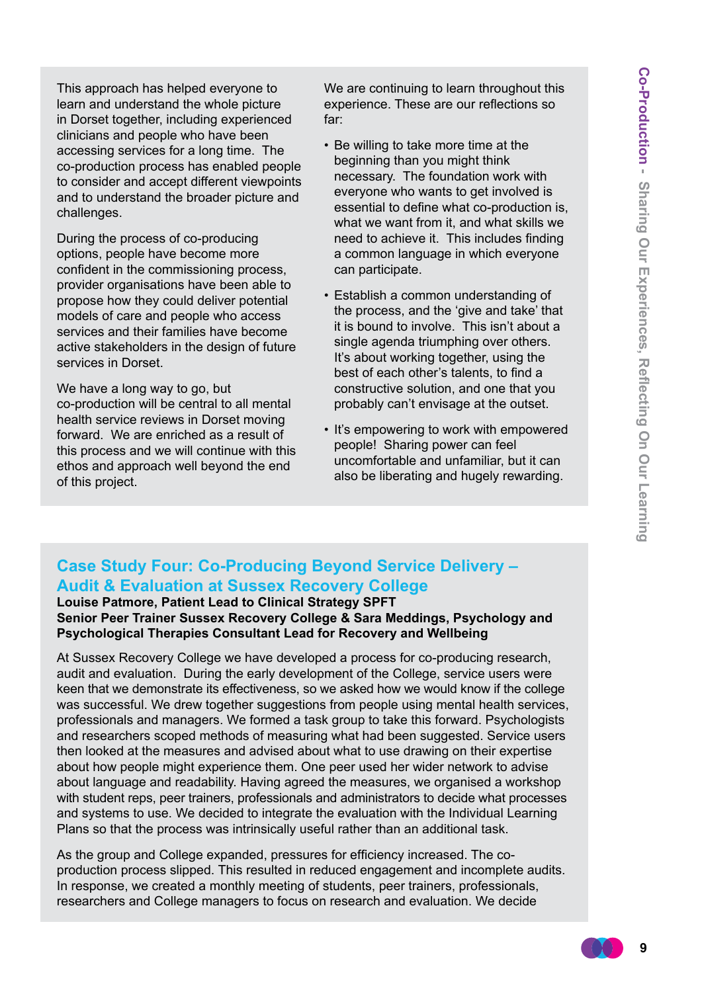This approach has helped everyone to learn and understand the whole picture in Dorset together, including experienced clinicians and people who have been accessing services for a long time. The co-production process has enabled people to consider and accept different viewpoints and to understand the broader picture and challenges.

During the process of co-producing options, people have become more confident in the commissioning process, provider organisations have been able to propose how they could deliver potential models of care and people who access services and their families have become active stakeholders in the design of future services in Dorset.

We have a long way to go, but co-production will be central to all mental health service reviews in Dorset moving forward. We are enriched as a result of this process and we will continue with this ethos and approach well beyond the end of this project.

We are continuing to learn throughout this experience. These are our reflections so far:

- Be willing to take more time at the beginning than you might think necessary. The foundation work with everyone who wants to get involved is essential to define what co-production is, what we want from it, and what skills we need to achieve it. This includes finding a common language in which everyone can participate.
- Establish a common understanding of the process, and the 'give and take' that it is bound to involve. This isn't about a single agenda triumphing over others. It's about working together, using the best of each other's talents, to find a constructive solution, and one that you probably can't envisage at the outset.
- It's empowering to work with empowered people! Sharing power can feel uncomfortable and unfamiliar, but it can also be liberating and hugely rewarding.

#### **Case Study Four: Co-Producing Beyond Service Delivery – Audit & Evaluation at Sussex Recovery College**

#### **Louise Patmore, Patient Lead to Clinical Strategy SPFT Senior Peer Trainer Sussex Recovery College & Sara Meddings, Psychology and Psychological Therapies Consultant Lead for Recovery and Wellbeing**

At Sussex Recovery College we have developed a process for co-producing research, audit and evaluation. During the early development of the College, service users were keen that we demonstrate its effectiveness, so we asked how we would know if the college was successful. We drew together suggestions from people using mental health services, professionals and managers. We formed a task group to take this forward. Psychologists and researchers scoped methods of measuring what had been suggested. Service users then looked at the measures and advised about what to use drawing on their expertise about how people might experience them. One peer used her wider network to advise about language and readability. Having agreed the measures, we organised a workshop with student reps, peer trainers, professionals and administrators to decide what processes and systems to use. We decided to integrate the evaluation with the Individual Learning Plans so that the process was intrinsically useful rather than an additional task.

As the group and College expanded, pressures for efficiency increased. The coproduction process slipped. This resulted in reduced engagement and incomplete audits. In response, we created a monthly meeting of students, peer trainers, professionals, researchers and College managers to focus on research and evaluation. We decide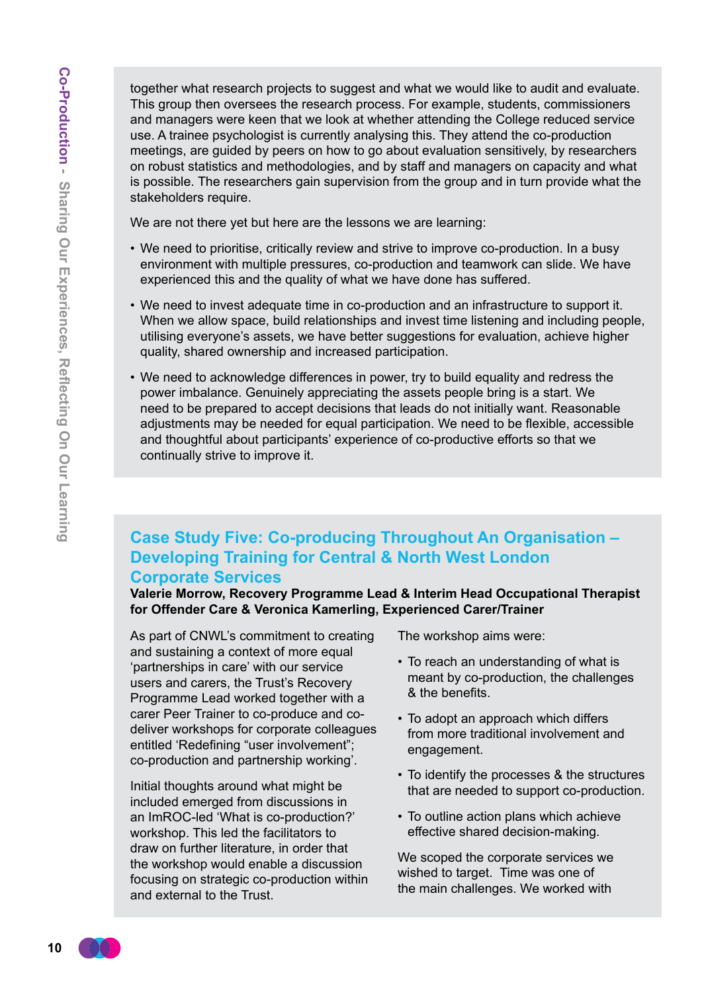together what research projects to suggest and what we would like to audit and evaluate. This group then oversees the research process. For example, students, commissioners and managers were keen that we look at whether attending the College reduced service use. A trainee psychologist is currently analysing this. They attend the co-production meetings, are guided by peers on how to go about evaluation sensitively, by researchers on robust statistics and methodologies, and by staff and managers on capacity and what is possible. The researchers gain supervision from the group and in turn provide what the stakeholders require.

We are not there yet but here are the lessons we are learning:

- We need to prioritise, critically review and strive to improve co-production. In a busy environment with multiple pressures, co-production and teamwork can slide. We have experienced this and the quality of what we have done has suffered.
- We need to invest adequate time in co-production and an infrastructure to support it. When we allow space, build relationships and invest time listening and including people, utilising everyone's assets, we have better suggestions for evaluation, achieve higher quality, shared ownership and increased participation.
- We need to acknowledge differences in power, try to build equality and redress the power imbalance. Genuinely appreciating the assets people bring is a start. We need to be prepared to accept decisions that leads do not initially want. Reasonable adjustments may be needed for equal participation. We need to be flexible, accessible and thoughtful about participants' experience of co-productive efforts so that we continually strive to improve it.

#### **Case Study Five: Co-producing Throughout An Organisation – Developing Training for Central & North West London Corporate Services**

**Valerie Morrow, Recovery Programme Lead & Interim Head Occupational Therapist for Offender Care & Veronica Kamerling, Experienced Carer/Trainer** 

As part of CNWL's commitment to creating and sustaining a context of more equal 'partnerships in care' with our service users and carers, the Trust's Recovery Programme Lead worked together with a carer Peer Trainer to co-produce and codeliver workshops for corporate colleagues entitled 'Redefining "user involvement"; co-production and partnership working'.

Initial thoughts around what might be included emerged from discussions in an ImROC-led 'What is co-production?' workshop. This led the facilitators to draw on further literature, in order that the workshop would enable a discussion focusing on strategic co-production within and external to the Trust.

The workshop aims were:

- To reach an understanding of what is meant by co-production, the challenges & the benefits.
- To adopt an approach which differs from more traditional involvement and engagement.
- To identify the processes & the structures that are needed to support co-production.
- To outline action plans which achieve effective shared decision-making.

We scoped the corporate services we wished to target. Time was one of the main challenges. We worked with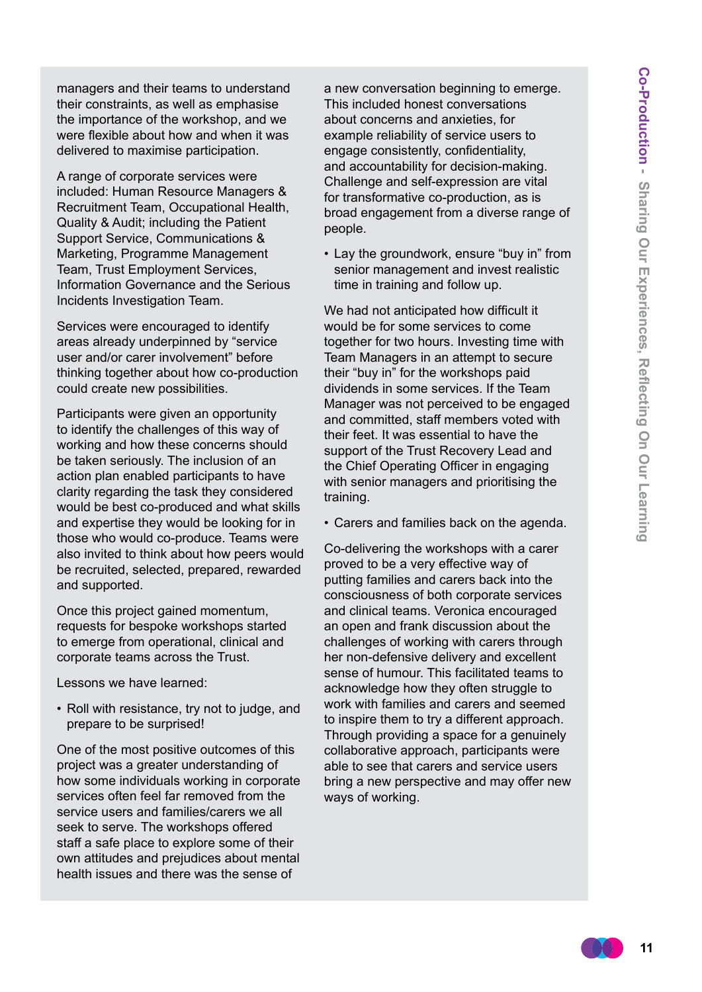managers and their teams to understand their constraints, as well as emphasise the importance of the workshop, and we were flexible about how and when it was delivered to maximise participation.

A range of corporate services were included: Human Resource Managers & Recruitment Team, Occupational Health, Quality & Audit; including the Patient Support Service, Communications & Marketing, Programme Management Team, Trust Employment Services, Information Governance and the Serious Incidents Investigation Team.

Services were encouraged to identify areas already underpinned by "service user and/or carer involvement" before thinking together about how co-production could create new possibilities.

Participants were given an opportunity to identify the challenges of this way of working and how these concerns should be taken seriously. The inclusion of an action plan enabled participants to have clarity regarding the task they considered would be best co-produced and what skills and expertise they would be looking for in those who would co-produce. Teams were also invited to think about how peers would be recruited, selected, prepared, rewarded and supported.

Once this project gained momentum, requests for bespoke workshops started to emerge from operational, clinical and corporate teams across the Trust.

Lessons we have learned:

• Roll with resistance, try not to judge, and prepare to be surprised!

One of the most positive outcomes of this project was a greater understanding of how some individuals working in corporate services often feel far removed from the service users and families/carers we all seek to serve. The workshops offered staff a safe place to explore some of their own attitudes and prejudices about mental health issues and there was the sense of

a new conversation beginning to emerge. This included honest conversations about concerns and anxieties, for example reliability of service users to engage consistently, confidentiality, and accountability for decision-making. Challenge and self-expression are vital for transformative co-production, as is broad engagement from a diverse range of people.

• Lay the groundwork, ensure "buy in" from senior management and invest realistic time in training and follow up.

We had not anticipated how difficult it would be for some services to come together for two hours. Investing time with Team Managers in an attempt to secure their "buy in" for the workshops paid dividends in some services. If the Team Manager was not perceived to be engaged and committed, staff members voted with their feet. It was essential to have the support of the Trust Recovery Lead and the Chief Operating Officer in engaging with senior managers and prioritising the training.

• Carers and families back on the agenda.

Co-delivering the workshops with a carer proved to be a very effective way of putting families and carers back into the consciousness of both corporate services and clinical teams. Veronica encouraged an open and frank discussion about the challenges of working with carers through her non-defensive delivery and excellent sense of humour. This facilitated teams to acknowledge how they often struggle to work with families and carers and seemed to inspire them to try a different approach. Through providing a space for a genuinely collaborative approach, participants were able to see that carers and service users bring a new perspective and may offer new ways of working.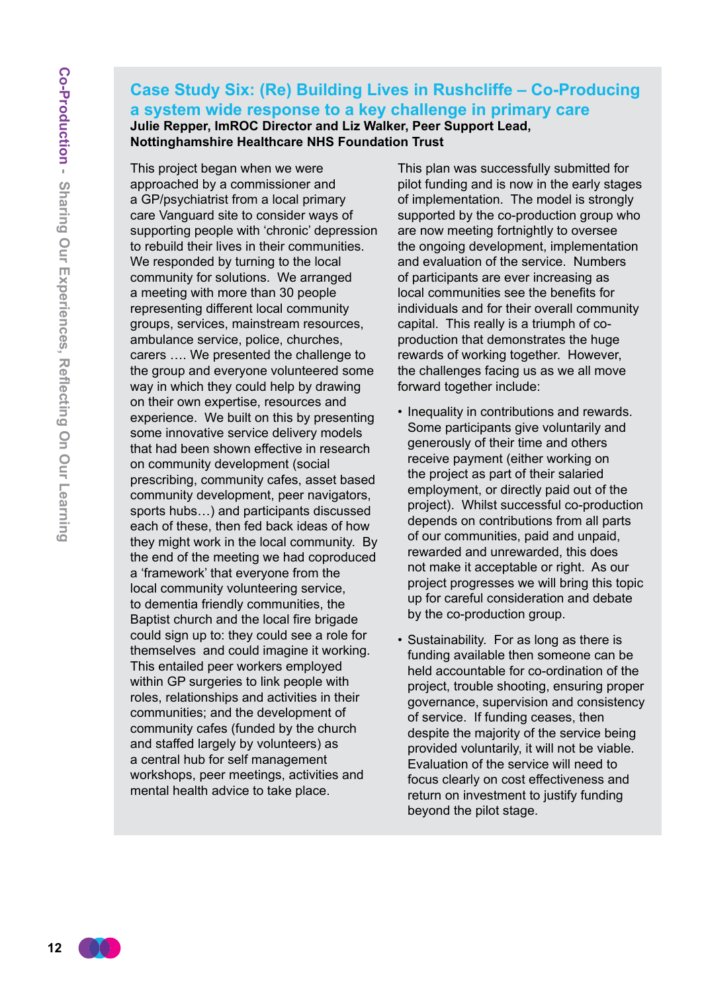#### **Case Study Six: (Re) Building Lives in Rushcliffe – Co-Producing a system wide response to a key challenge in primary care Julie Repper, ImROC Director and Liz Walker, Peer Support Lead, Nottinghamshire Healthcare NHS Foundation Trust**

This project began when we were approached by a commissioner and a GP/psychiatrist from a local primary care Vanguard site to consider ways of supporting people with 'chronic' depression to rebuild their lives in their communities. We responded by turning to the local community for solutions. We arranged a meeting with more than 30 people representing different local community groups, services, mainstream resources, ambulance service, police, churches, carers …. We presented the challenge to the group and everyone volunteered some way in which they could help by drawing on their own expertise, resources and experience. We built on this by presenting some innovative service delivery models that had been shown effective in research on community development (social prescribing, community cafes, asset based community development, peer navigators, sports hubs…) and participants discussed each of these, then fed back ideas of how they might work in the local community. By the end of the meeting we had coproduced a 'framework' that everyone from the local community volunteering service, to dementia friendly communities, the Baptist church and the local fire brigade could sign up to: they could see a role for themselves and could imagine it working. This entailed peer workers employed within GP surgeries to link people with roles, relationships and activities in their communities; and the development of community cafes (funded by the church and staffed largely by volunteers) as a central hub for self management workshops, peer meetings, activities and mental health advice to take place.

This plan was successfully submitted for pilot funding and is now in the early stages of implementation. The model is strongly supported by the co-production group who are now meeting fortnightly to oversee the ongoing development, implementation and evaluation of the service. Numbers of participants are ever increasing as local communities see the benefits for individuals and for their overall community capital. This really is a triumph of coproduction that demonstrates the huge rewards of working together. However, the challenges facing us as we all move forward together include:

- Inequality in contributions and rewards. Some participants give voluntarily and generously of their time and others receive payment (either working on the project as part of their salaried employment, or directly paid out of the project). Whilst successful co-production depends on contributions from all parts of our communities, paid and unpaid, rewarded and unrewarded, this does not make it acceptable or right. As our project progresses we will bring this topic up for careful consideration and debate by the co-production group.
- Sustainability. For as long as there is funding available then someone can be held accountable for co-ordination of the project, trouble shooting, ensuring proper governance, supervision and consistency of service. If funding ceases, then despite the majority of the service being provided voluntarily, it will not be viable. Evaluation of the service will need to focus clearly on cost effectiveness and return on investment to justify funding beyond the pilot stage.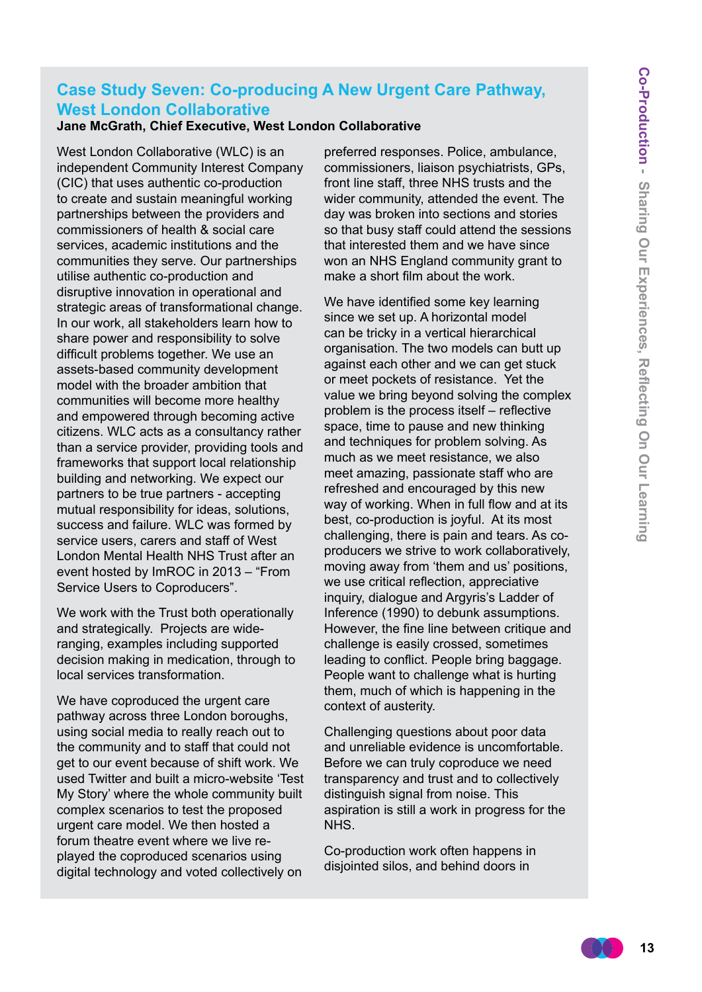#### **Case Study Seven: Co-producing A New Urgent Care Pathway, West London Collaborative**

#### **Jane McGrath, Chief Executive, West London Collaborative**

West London Collaborative (WLC) is an independent Community Interest Company (CIC) that uses authentic co-production to create and sustain meaningful working partnerships between the providers and commissioners of health & social care services, academic institutions and the communities they serve. Our partnerships utilise authentic co-production and disruptive innovation in operational and strategic areas of transformational change. In our work, all stakeholders learn how to share power and responsibility to solve difficult problems together. We use an assets-based community development model with the broader ambition that communities will become more healthy and empowered through becoming active citizens. WLC acts as a consultancy rather than a service provider, providing tools and frameworks that support local relationship building and networking. We expect our partners to be true partners - accepting mutual responsibility for ideas, solutions, success and failure. WLC was formed by service users, carers and staff of West London Mental Health NHS Trust after an event hosted by ImROC in 2013 – "From Service Users to Coproducers".

We work with the Trust both operationally and strategically. Projects are wideranging, examples including supported decision making in medication, through to local services transformation.

We have coproduced the urgent care pathway across three London boroughs, using social media to really reach out to the community and to staff that could not get to our event because of shift work. We used Twitter and built a micro-website 'Test My Story' where the whole community built complex scenarios to test the proposed urgent care model. We then hosted a forum theatre event where we live replayed the coproduced scenarios using digital technology and voted collectively on

preferred responses. Police, ambulance, commissioners, liaison psychiatrists, GPs, front line staff, three NHS trusts and the wider community, attended the event. The day was broken into sections and stories so that busy staff could attend the sessions that interested them and we have since won an NHS England community grant to make a short film about the work.

We have identified some key learning since we set up. A horizontal model can be tricky in a vertical hierarchical organisation. The two models can butt up against each other and we can get stuck or meet pockets of resistance. Yet the value we bring beyond solving the complex problem is the process itself – reflective space, time to pause and new thinking and techniques for problem solving. As much as we meet resistance, we also meet amazing, passionate staff who are refreshed and encouraged by this new way of working. When in full flow and at its best, co-production is joyful. At its most challenging, there is pain and tears. As coproducers we strive to work collaboratively, moving away from 'them and us' positions, we use critical reflection, appreciative inquiry, dialogue and Argyris's Ladder of Inference (1990) to debunk assumptions. However, the fine line between critique and challenge is easily crossed, sometimes leading to conflict. People bring baggage. People want to challenge what is hurting them, much of which is happening in the context of austerity.

Challenging questions about poor data and unreliable evidence is uncomfortable. Before we can truly coproduce we need transparency and trust and to collectively distinguish signal from noise. This aspiration is still a work in progress for the NHS.

Co-production work often happens in disjointed silos, and behind doors in

$$
\begin{array}{ccc} & & 13 \\ \hline \end{array}
$$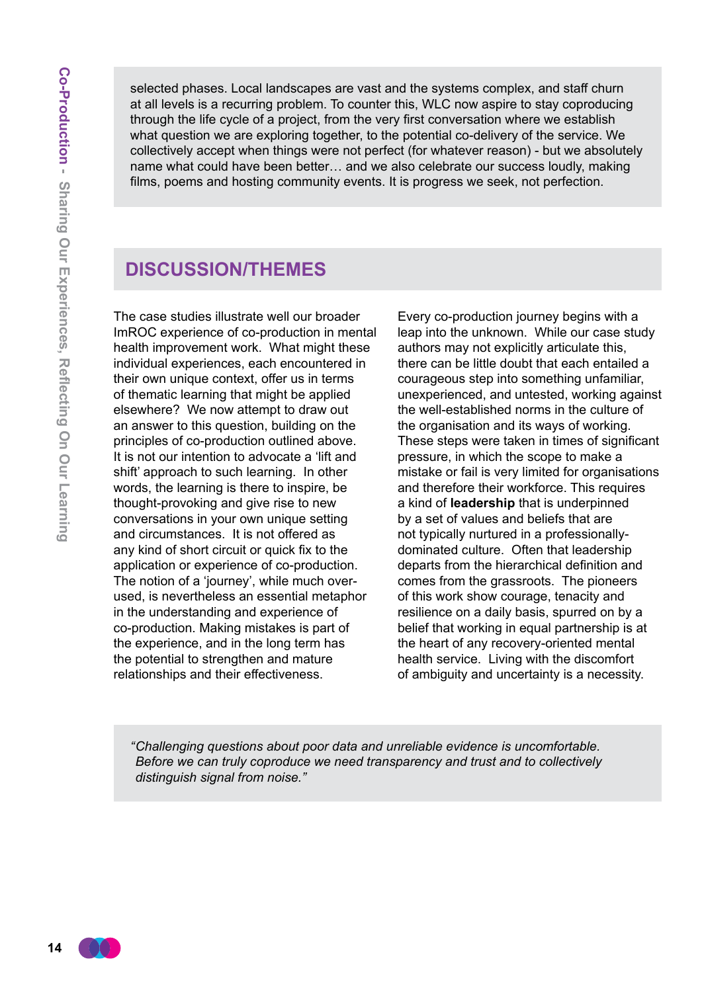selected phases. Local landscapes are vast and the systems complex, and staff churn at all levels is a recurring problem. To counter this, WLC now aspire to stay coproducing through the life cycle of a project, from the very first conversation where we establish what question we are exploring together, to the potential co-delivery of the service. We collectively accept when things were not perfect (for whatever reason) - but we absolutely name what could have been better… and we also celebrate our success loudly, making films, poems and hosting community events. It is progress we seek, not perfection.

#### **Discussion/Themes**

The case studies illustrate well our broader ImROC experience of co-production in mental health improvement work. What might these individual experiences, each encountered in their own unique context, offer us in terms of thematic learning that might be applied elsewhere? We now attempt to draw out an answer to this question, building on the principles of co-production outlined above. It is not our intention to advocate a 'lift and shift' approach to such learning. In other words, the learning is there to inspire, be thought-provoking and give rise to new conversations in your own unique setting and circumstances. It is not offered as any kind of short circuit or quick fix to the application or experience of co-production. The notion of a 'journey', while much overused, is nevertheless an essential metaphor in the understanding and experience of co-production. Making mistakes is part of the experience, and in the long term has the potential to strengthen and mature relationships and their effectiveness.

Every co-production journey begins with a leap into the unknown. While our case study authors may not explicitly articulate this, there can be little doubt that each entailed a courageous step into something unfamiliar, unexperienced, and untested, working against the well-established norms in the culture of the organisation and its ways of working. These steps were taken in times of significant pressure, in which the scope to make a mistake or fail is very limited for organisations and therefore their workforce. This requires a kind of **leadership** that is underpinned by a set of values and beliefs that are not typically nurtured in a professionallydominated culture. Often that leadership departs from the hierarchical definition and comes from the grassroots. The pioneers of this work show courage, tenacity and resilience on a daily basis, spurred on by a belief that working in equal partnership is at the heart of any recovery-oriented mental health service. Living with the discomfort of ambiguity and uncertainty is a necessity.

*" Challenging questions about poor data and unreliable evidence is uncomfortable. Before we can truly coproduce we need transparency and trust and to collectively distinguish signal from noise."*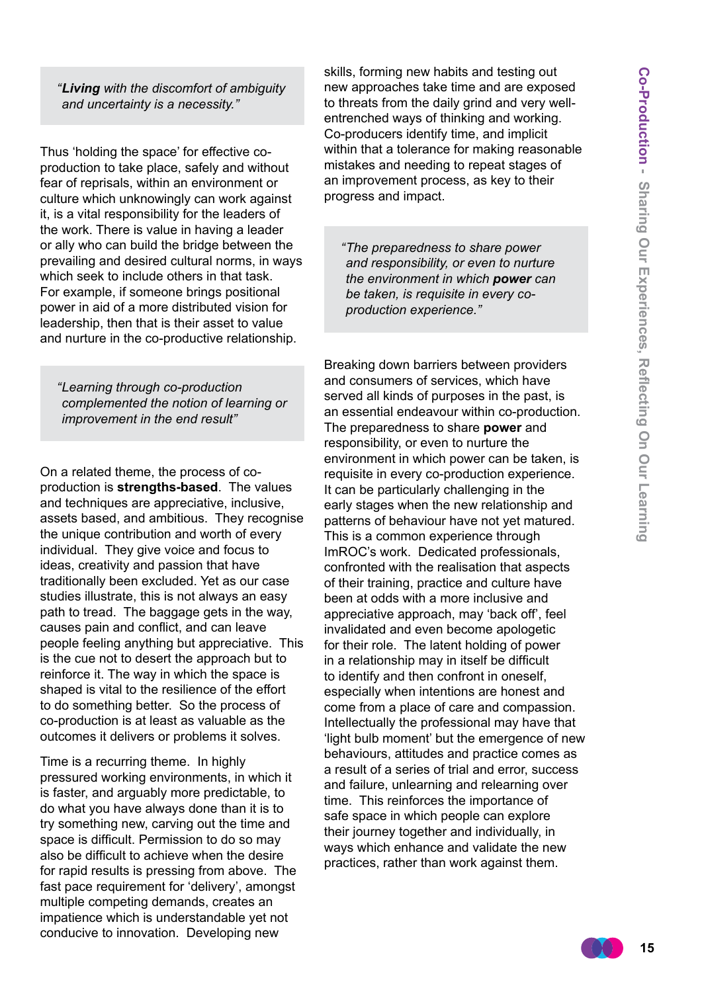*" Living with the discomfort of ambiguity and uncertainty is a necessity."*

Thus 'holding the space' for effective coproduction to take place, safely and without fear of reprisals, within an environment or culture which unknowingly can work against it, is a vital responsibility for the leaders of the work. There is value in having a leader or ally who can build the bridge between the prevailing and desired cultural norms, in ways which seek to include others in that task. For example, if someone brings positional power in aid of a more distributed vision for leadership, then that is their asset to value and nurture in the co-productive relationship.

*" Learning through co-production complemented the notion of learning or improvement in the end result"*

On a related theme, the process of coproduction is **strengths-based**. The values and techniques are appreciative, inclusive, assets based, and ambitious. They recognise the unique contribution and worth of every individual. They give voice and focus to ideas, creativity and passion that have traditionally been excluded. Yet as our case studies illustrate, this is not always an easy path to tread. The baggage gets in the way, causes pain and conflict, and can leave people feeling anything but appreciative. This is the cue not to desert the approach but to reinforce it. The way in which the space is shaped is vital to the resilience of the effort to do something better. So the process of co-production is at least as valuable as the outcomes it delivers or problems it solves.

Time is a recurring theme. In highly pressured working environments, in which it is faster, and arguably more predictable, to do what you have always done than it is to try something new, carving out the time and space is difficult. Permission to do so may also be difficult to achieve when the desire for rapid results is pressing from above. The fast pace requirement for 'delivery', amongst multiple competing demands, creates an impatience which is understandable yet not conducive to innovation. Developing new

skills, forming new habits and testing out new approaches take time and are exposed to threats from the daily grind and very wellentrenched ways of thinking and working. Co-producers identify time, and implicit within that a tolerance for making reasonable mistakes and needing to repeat stages of an improvement process, as key to their progress and impact.

*" The preparedness to share power and responsibility, or even to nurture the environment in which power can be taken, is requisite in every coproduction experience."*

Breaking down barriers between providers and consumers of services, which have served all kinds of purposes in the past, is an essential endeavour within co-production. The preparedness to share **power** and responsibility, or even to nurture the environment in which power can be taken, is requisite in every co-production experience. It can be particularly challenging in the early stages when the new relationship and patterns of behaviour have not yet matured. This is a common experience through ImROC's work. Dedicated professionals, confronted with the realisation that aspects of their training, practice and culture have been at odds with a more inclusive and appreciative approach, may 'back off', feel invalidated and even become apologetic for their role. The latent holding of power in a relationship may in itself be difficult to identify and then confront in oneself, especially when intentions are honest and come from a place of care and compassion. Intellectually the professional may have that 'light bulb moment' but the emergence of new behaviours, attitudes and practice comes as a result of a series of trial and error, success and failure, unlearning and relearning over time. This reinforces the importance of safe space in which people can explore their journey together and individually, in ways which enhance and validate the new practices, rather than work against them.

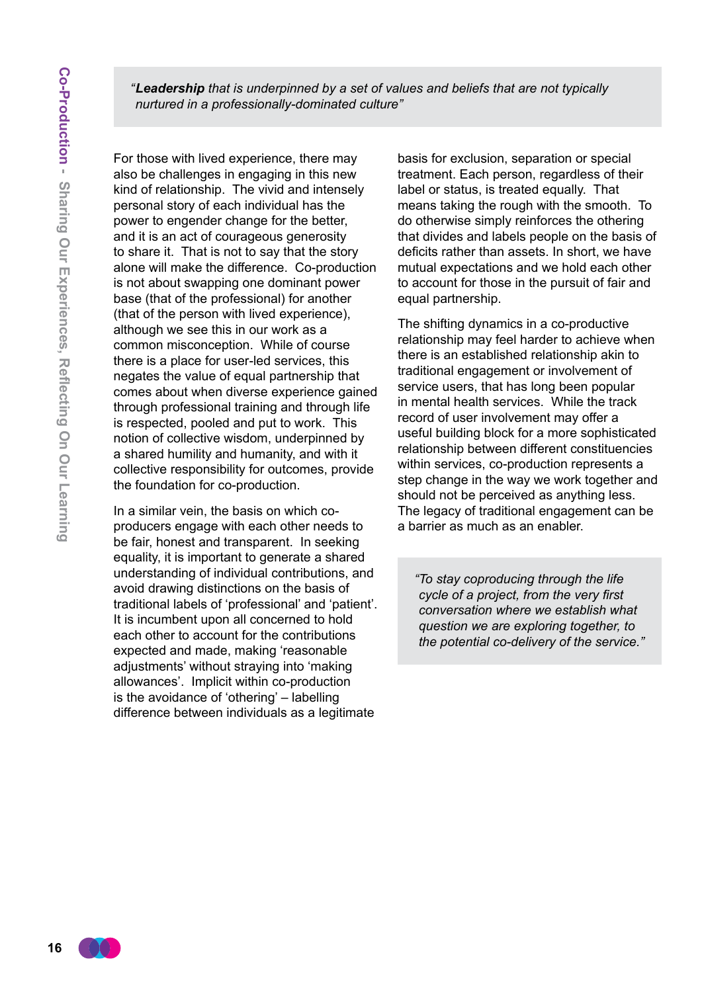*" Leadership that is underpinned by a set of values and beliefs that are not typically nurtured in a professionally-dominated culture"*

For those with lived experience, there may also be challenges in engaging in this new kind of relationship. The vivid and intensely personal story of each individual has the power to engender change for the better, and it is an act of courageous generosity to share it. That is not to say that the story alone will make the difference. Co-production is not about swapping one dominant power base (that of the professional) for another (that of the person with lived experience), although we see this in our work as a common misconception. While of course there is a place for user-led services, this negates the value of equal partnership that comes about when diverse experience gained through professional training and through life is respected, pooled and put to work. This notion of collective wisdom, underpinned by a shared humility and humanity, and with it collective responsibility for outcomes, provide the foundation for co-production.

In a similar vein, the basis on which coproducers engage with each other needs to be fair, honest and transparent. In seeking equality, it is important to generate a shared understanding of individual contributions, and avoid drawing distinctions on the basis of traditional labels of 'professional' and 'patient'. It is incumbent upon all concerned to hold each other to account for the contributions expected and made, making 'reasonable adjustments' without straying into 'making allowances'. Implicit within co-production is the avoidance of 'othering' – labelling difference between individuals as a legitimate

basis for exclusion, separation or special treatment. Each person, regardless of their label or status, is treated equally. That means taking the rough with the smooth. To do otherwise simply reinforces the othering that divides and labels people on the basis of deficits rather than assets. In short, we have mutual expectations and we hold each other to account for those in the pursuit of fair and equal partnership.

The shifting dynamics in a co-productive relationship may feel harder to achieve when there is an established relationship akin to traditional engagement or involvement of service users, that has long been popular in mental health services. While the track record of user involvement may offer a useful building block for a more sophisticated relationship between different constituencies within services, co-production represents a step change in the way we work together and should not be perceived as anything less. The legacy of traditional engagement can be a barrier as much as an enabler.

*"To stay coproducing through the life cycle of a project, from the very first conversation where we establish what question we are exploring together, to the potential co-delivery of the service."*

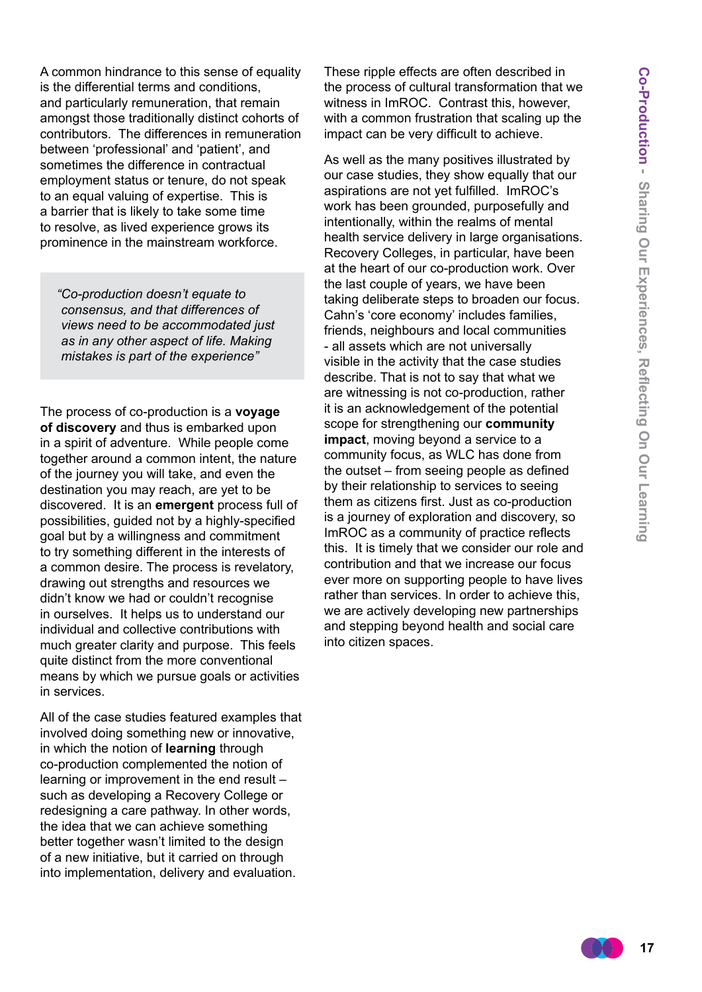A common hindrance to this sense of equality is the differential terms and conditions, and particularly remuneration, that remain amongst those traditionally distinct cohorts of contributors. The differences in remuneration between 'professional' and 'patient', and sometimes the difference in contractual employment status or tenure, do not speak to an equal valuing of expertise. This is a barrier that is likely to take some time to resolve, as lived experience grows its prominence in the mainstream workforce.

*"Co-production doesn't equate to consensus, and that differences of views need to be accommodated just as in any other aspect of life. Making mistakes is part of the experience"*

The process of co-production is a **voyage of discovery** and thus is embarked upon in a spirit of adventure. While people come together around a common intent, the nature of the journey you will take, and even the destination you may reach, are yet to be discovered. It is an **emergent** process full of possibilities, guided not by a highly-specified goal but by a willingness and commitment to try something different in the interests of a common desire. The process is revelatory, drawing out strengths and resources we didn't know we had or couldn't recognise in ourselves. It helps us to understand our individual and collective contributions with much greater clarity and purpose. This feels quite distinct from the more conventional means by which we pursue goals or activities in services.

All of the case studies featured examples that involved doing something new or innovative, in which the notion of **learning** through co-production complemented the notion of learning or improvement in the end result – such as developing a Recovery College or redesigning a care pathway. In other words, the idea that we can achieve something better together wasn't limited to the design of a new initiative, but it carried on through into implementation, delivery and evaluation.

These ripple effects are often described in the process of cultural transformation that we witness in ImROC. Contrast this, however, with a common frustration that scaling up the impact can be very difficult to achieve.

As well as the many positives illustrated by our case studies, they show equally that our aspirations are not yet fulfilled. ImROC's work has been grounded, purposefully and intentionally, within the realms of mental health service delivery in large organisations. Recovery Colleges, in particular, have been at the heart of our co-production work. Over the last couple of years, we have been taking deliberate steps to broaden our focus. Cahn's 'core economy' includes families, friends, neighbours and local communities - all assets which are not universally visible in the activity that the case studies describe. That is not to say that what we are witnessing is not co-production, rather it is an acknowledgement of the potential scope for strengthening our **community impact**, moving beyond a service to a community focus, as WLC has done from the outset – from seeing people as defined by their relationship to services to seeing them as citizens first. Just as co-production is a journey of exploration and discovery, so ImROC as a community of practice reflects this. It is timely that we consider our role and contribution and that we increase our focus ever more on supporting people to have lives rather than services. In order to achieve this, we are actively developing new partnerships and stepping beyond health and social care into citizen spaces.

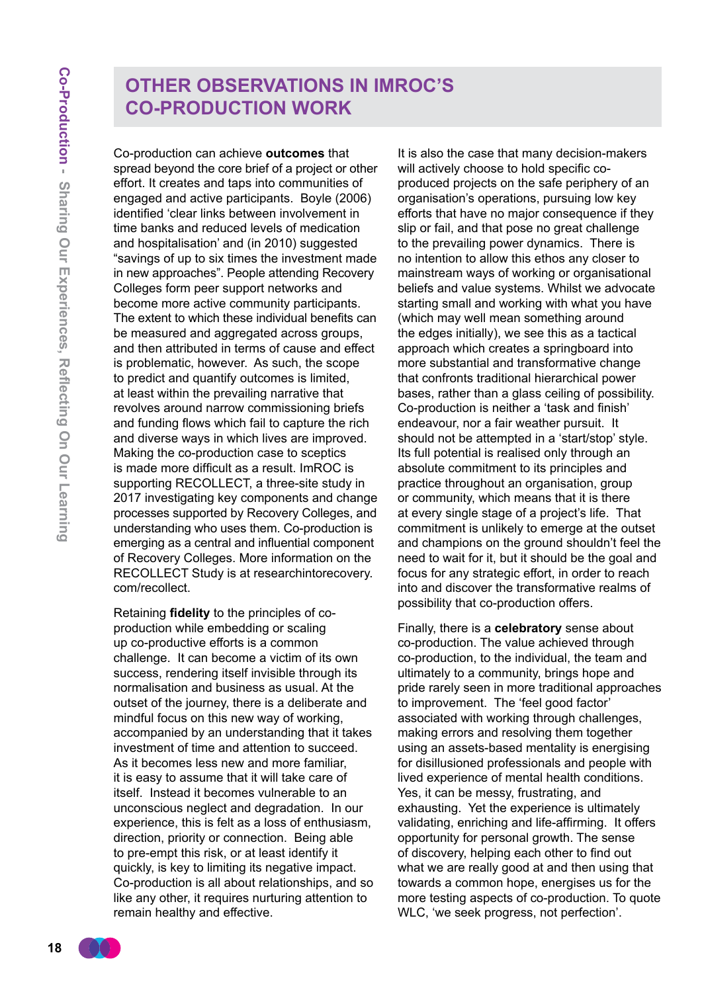## **Other Observations In ImROC's Co-Production Work**

Co-production can achieve **outcomes** that spread beyond the core brief of a project or other effort. It creates and taps into communities of engaged and active participants. Boyle (2006) identified 'clear links between involvement in time banks and reduced levels of medication and hospitalisation' and (in 2010) suggested "savings of up to six times the investment made in new approaches". People attending Recovery Colleges form peer support networks and become more active community participants. The extent to which these individual benefits can be measured and aggregated across groups, and then attributed in terms of cause and effect is problematic, however. As such, the scope to predict and quantify outcomes is limited, at least within the prevailing narrative that revolves around narrow commissioning briefs and funding flows which fail to capture the rich and diverse ways in which lives are improved. Making the co-production case to sceptics is made more difficult as a result. ImROC is supporting RECOLLECT, a three-site study in 2017 investigating key components and change processes supported by Recovery Colleges, and understanding who uses them. Co-production is emerging as a central and influential component of Recovery Colleges. More information on the RECOLLECT Study is at researchintorecovery. com/recollect.

Retaining **fidelity** to the principles of coproduction while embedding or scaling up co-productive efforts is a common challenge. It can become a victim of its own success, rendering itself invisible through its normalisation and business as usual. At the outset of the journey, there is a deliberate and mindful focus on this new way of working, accompanied by an understanding that it takes investment of time and attention to succeed. As it becomes less new and more familiar, it is easy to assume that it will take care of itself. Instead it becomes vulnerable to an unconscious neglect and degradation. In our experience, this is felt as a loss of enthusiasm, direction, priority or connection. Being able to pre-empt this risk, or at least identify it quickly, is key to limiting its negative impact. Co-production is all about relationships, and so like any other, it requires nurturing attention to remain healthy and effective.

It is also the case that many decision-makers will actively choose to hold specific coproduced projects on the safe periphery of an organisation's operations, pursuing low key efforts that have no major consequence if they slip or fail, and that pose no great challenge to the prevailing power dynamics. There is no intention to allow this ethos any closer to mainstream ways of working or organisational beliefs and value systems. Whilst we advocate starting small and working with what you have (which may well mean something around the edges initially), we see this as a tactical approach which creates a springboard into more substantial and transformative change that confronts traditional hierarchical power bases, rather than a glass ceiling of possibility. Co-production is neither a 'task and finish' endeavour, nor a fair weather pursuit. It should not be attempted in a 'start/stop' style. Its full potential is realised only through an absolute commitment to its principles and practice throughout an organisation, group or community, which means that it is there at every single stage of a project's life. That commitment is unlikely to emerge at the outset and champions on the ground shouldn't feel the need to wait for it, but it should be the goal and focus for any strategic effort, in order to reach into and discover the transformative realms of possibility that co-production offers.

Finally, there is a **celebratory** sense about co-production. The value achieved through co-production, to the individual, the team and ultimately to a community, brings hope and pride rarely seen in more traditional approaches to improvement. The 'feel good factor' associated with working through challenges, making errors and resolving them together using an assets-based mentality is energising for disillusioned professionals and people with lived experience of mental health conditions. Yes, it can be messy, frustrating, and exhausting. Yet the experience is ultimately validating, enriching and life-affirming. It offers opportunity for personal growth. The sense of discovery, helping each other to find out what we are really good at and then using that towards a common hope, energises us for the more testing aspects of co-production. To quote WLC, 'we seek progress, not perfection'.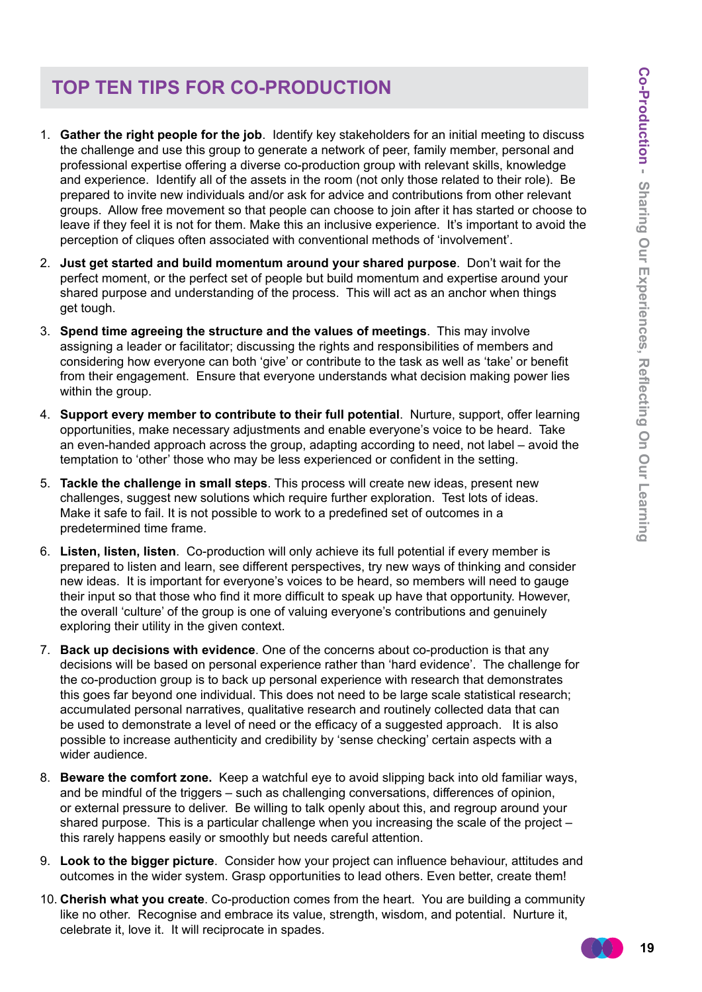# **Top ten tips for co-production**

- 1. **Gather the right people for the job**. Identify key stakeholders for an initial meeting to discuss the challenge and use this group to generate a network of peer, family member, personal and professional expertise offering a diverse co-production group with relevant skills, knowledge and experience. Identify all of the assets in the room (not only those related to their role). Be prepared to invite new individuals and/or ask for advice and contributions from other relevant groups. Allow free movement so that people can choose to join after it has started or choose to leave if they feel it is not for them. Make this an inclusive experience. It's important to avoid the perception of cliques often associated with conventional methods of 'involvement'.
- 2. **Just get started and build momentum around your shared purpose**. Don't wait for the perfect moment, or the perfect set of people but build momentum and expertise around your shared purpose and understanding of the process. This will act as an anchor when things get tough.
- 3. **Spend time agreeing the structure and the values of meetings**. This may involve assigning a leader or facilitator; discussing the rights and responsibilities of members and considering how everyone can both 'give' or contribute to the task as well as 'take' or benefit from their engagement. Ensure that everyone understands what decision making power lies within the group.
- 4. **Support every member to contribute to their full potential**. Nurture, support, offer learning opportunities, make necessary adjustments and enable everyone's voice to be heard. Take an even-handed approach across the group, adapting according to need, not label – avoid the temptation to 'other' those who may be less experienced or confident in the setting.
- 5. **Tackle the challenge in small steps**. This process will create new ideas, present new challenges, suggest new solutions which require further exploration. Test lots of ideas. Make it safe to fail. It is not possible to work to a predefined set of outcomes in a predetermined time frame.
- 6. **Listen, listen, listen**. Co-production will only achieve its full potential if every member is prepared to listen and learn, see different perspectives, try new ways of thinking and consider new ideas. It is important for everyone's voices to be heard, so members will need to gauge their input so that those who find it more difficult to speak up have that opportunity. However, the overall 'culture' of the group is one of valuing everyone's contributions and genuinely exploring their utility in the given context.
- 7. **Back up decisions with evidence**. One of the concerns about co-production is that any decisions will be based on personal experience rather than 'hard evidence'. The challenge for the co-production group is to back up personal experience with research that demonstrates this goes far beyond one individual. This does not need to be large scale statistical research; accumulated personal narratives, qualitative research and routinely collected data that can be used to demonstrate a level of need or the efficacy of a suggested approach. It is also possible to increase authenticity and credibility by 'sense checking' certain aspects with a wider audience.
- 8. **Beware the comfort zone.** Keep a watchful eye to avoid slipping back into old familiar ways, and be mindful of the triggers – such as challenging conversations, differences of opinion, or external pressure to deliver. Be willing to talk openly about this, and regroup around your shared purpose. This is a particular challenge when you increasing the scale of the project – this rarely happens easily or smoothly but needs careful attention.
- 9. **Look to the bigger picture**. Consider how your project can influence behaviour, attitudes and outcomes in the wider system. Grasp opportunities to lead others. Even better, create them!
- 10. **Cherish what you create**. Co-production comes from the heart. You are building a community like no other. Recognise and embrace its value, strength, wisdom, and potential. Nurture it, celebrate it, love it. It will reciprocate in spades.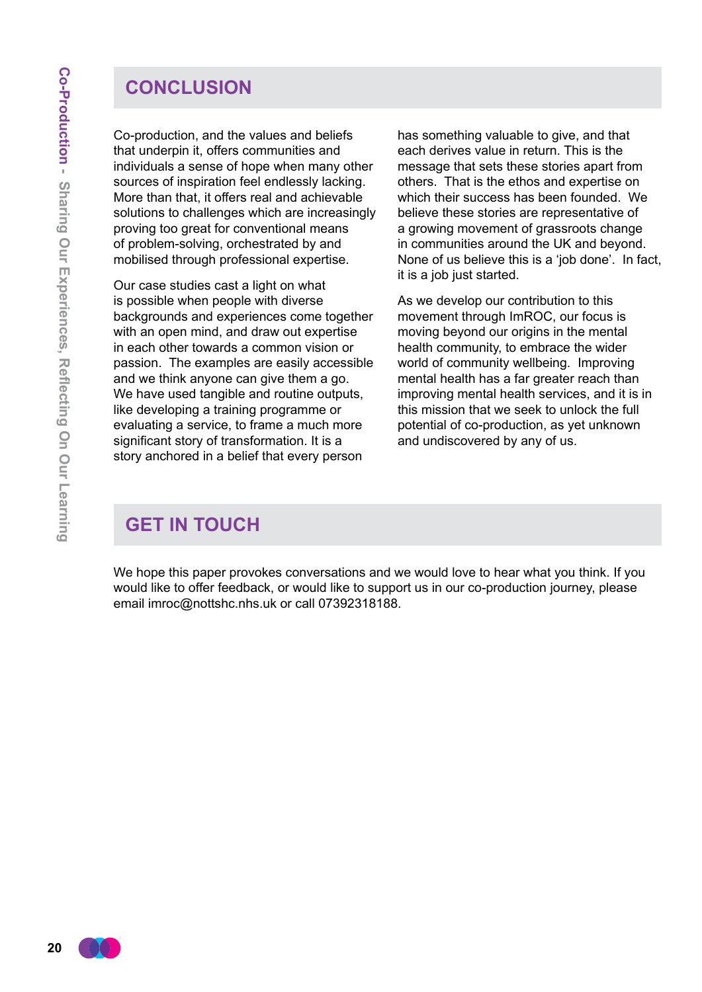## **Conclusion**

Co-production, and the values and beliefs that underpin it, offers communities and individuals a sense of hope when many other sources of inspiration feel endlessly lacking. More than that, it offers real and achievable solutions to challenges which are increasingly proving too great for conventional means of problem-solving, orchestrated by and mobilised through professional expertise.

Our case studies cast a light on what is possible when people with diverse backgrounds and experiences come together with an open mind, and draw out expertise in each other towards a common vision or passion. The examples are easily accessible and we think anyone can give them a go. We have used tangible and routine outputs, like developing a training programme or evaluating a service, to frame a much more significant story of transformation. It is a story anchored in a belief that every person

has something valuable to give, and that each derives value in return. This is the message that sets these stories apart from others. That is the ethos and expertise on which their success has been founded. We believe these stories are representative of a growing movement of grassroots change in communities around the UK and beyond. None of us believe this is a 'job done'. In fact, it is a job just started.

As we develop our contribution to this movement through ImROC, our focus is moving beyond our origins in the mental health community, to embrace the wider world of community wellbeing. Improving mental health has a far greater reach than improving mental health services, and it is in this mission that we seek to unlock the full potential of co-production, as yet unknown and undiscovered by any of us.

## **Get In Touch**

We hope this paper provokes conversations and we would love to hear what you think. If you would like to offer feedback, or would like to support us in our co-production journey, please email imroc@nottshc.nhs.uk or call 07392318188.

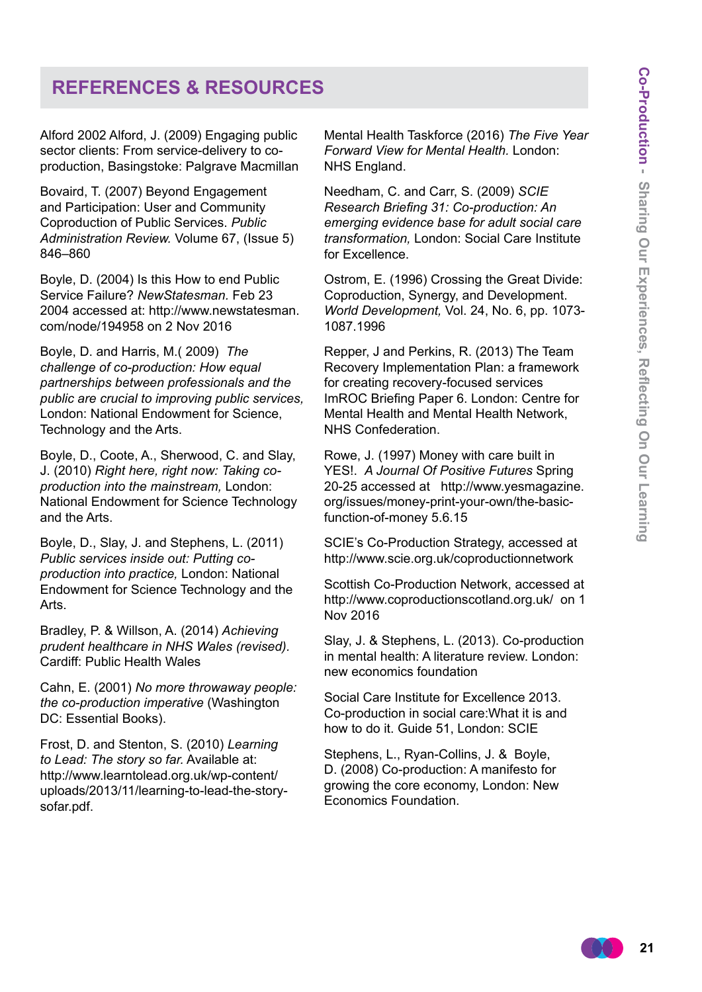## **References & Resources**

Alford 2002 Alford, J. (2009) Engaging public sector clients: From service-delivery to coproduction, Basingstoke: Palgrave Macmillan

Bovaird, T. (2007) Beyond Engagement and Participation: User and Community Coproduction of Public Services. *Public Administration Review.* Volume 67, (Issue 5) 846–860

Boyle, D. (2004) Is this How to end Public Service Failure? *NewStatesman.* Feb 23 2004 accessed at: http://www.newstatesman. com/node/194958 on 2 Nov 2016

Boyle, D. and Harris, M.( 2009) *The challenge of co-production: How equal partnerships between professionals and the public are crucial to improving public services,*  London: National Endowment for Science, Technology and the Arts.

Boyle, D., Coote, A., Sherwood, C. and Slay, J. (2010) *Right here, right now: Taking coproduction into the mainstream,* London: National Endowment for Science Technology and the Arts.

Boyle, D., Slay, J. and Stephens, L. (2011) *Public services inside out: Putting coproduction into practice,* London: National Endowment for Science Technology and the Arts.

Bradley, P. & Willson, A. (2014) *Achieving prudent healthcare in NHS Wales (revised).* Cardiff: Public Health Wales

Cahn, E. (2001) *No more throwaway people: the co-production imperative* (Washington DC: Essential Books).

Frost, D. and Stenton, S. (2010) *Learning to Lead: The story so far.* Available at: http://www.learntolead.org.uk/wp-content/ uploads/2013/11/learning-to-lead-the-storysofar.pdf.

Mental Health Taskforce (2016) *The Five Year Forward View for Mental Health.* London: NHS England.

Needham, C. and Carr, S. (2009) *SCIE Research Briefing 31: Co-production: An emerging evidence base for adult social care transformation,* London: Social Care Institute for Excellence.

Ostrom, E. (1996) Crossing the Great Divide: Coproduction, Synergy, and Development. *World Development,* Vol. 24, No. 6, pp. 1073- 1087.1996

Repper, J and Perkins, R. (2013) The Team Recovery Implementation Plan: a framework for creating recovery-focused services ImROC Briefing Paper 6. London: Centre for Mental Health and Mental Health Network, NHS Confederation.

Rowe, J. (1997) Money with care built in YES!. *A Journal Of Positive Futures* Spring 20-25 accessed at http://www.yesmagazine. org/issues/money-print-your-own/the-basicfunction-of-money 5.6.15

SCIE's Co-Production Strategy, accessed at http://www.scie.org.uk/coproductionnetwork

Scottish Co-Production Network, accessed at http://www.coproductionscotland.org.uk/ on 1 Nov 2016

Slay, J. & Stephens, L. (2013). Co-production in mental health: A literature review. London: new economics foundation

Social Care Institute for Excellence 2013. Co-production in social care:What it is and how to do it. Guide 51, London: SCIE

Stephens, L., Ryan-Collins, J. & Boyle, D. (2008) Co-production: A manifesto for growing the core economy, London: New Economics Foundation.

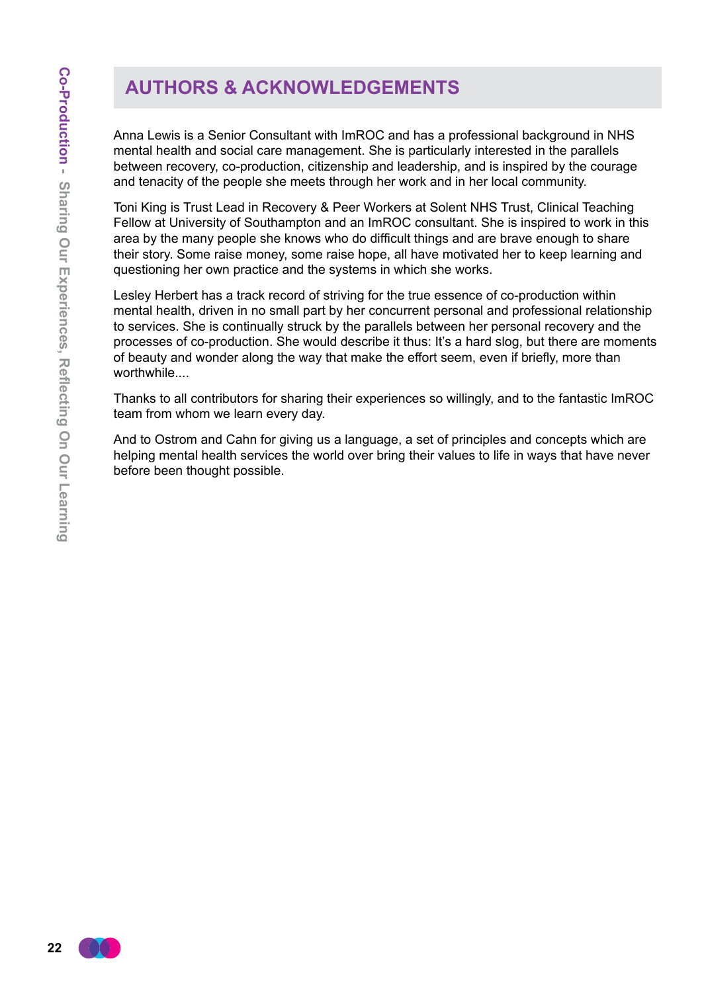# **Authors & Acknowledgements**

Anna Lewis is a Senior Consultant with ImROC and has a professional background in NHS mental health and social care management. She is particularly interested in the parallels between recovery, co-production, citizenship and leadership, and is inspired by the courage and tenacity of the people she meets through her work and in her local community.

Toni King is Trust Lead in Recovery & Peer Workers at Solent NHS Trust, Clinical Teaching Fellow at University of Southampton and an ImROC consultant. She is inspired to work in this area by the many people she knows who do difficult things and are brave enough to share their story. Some raise money, some raise hope, all have motivated her to keep learning and questioning her own practice and the systems in which she works.

Lesley Herbert has a track record of striving for the true essence of co-production within mental health, driven in no small part by her concurrent personal and professional relationship to services. She is continually struck by the parallels between her personal recovery and the processes of co-production. She would describe it thus: It's a hard slog, but there are moments of beauty and wonder along the way that make the effort seem, even if briefly, more than worthwhile....

Thanks to all contributors for sharing their experiences so willingly, and to the fantastic ImROC team from whom we learn every day.

And to Ostrom and Cahn for giving us a language, a set of principles and concepts which are helping mental health services the world over bring their values to life in ways that have never before been thought possible.